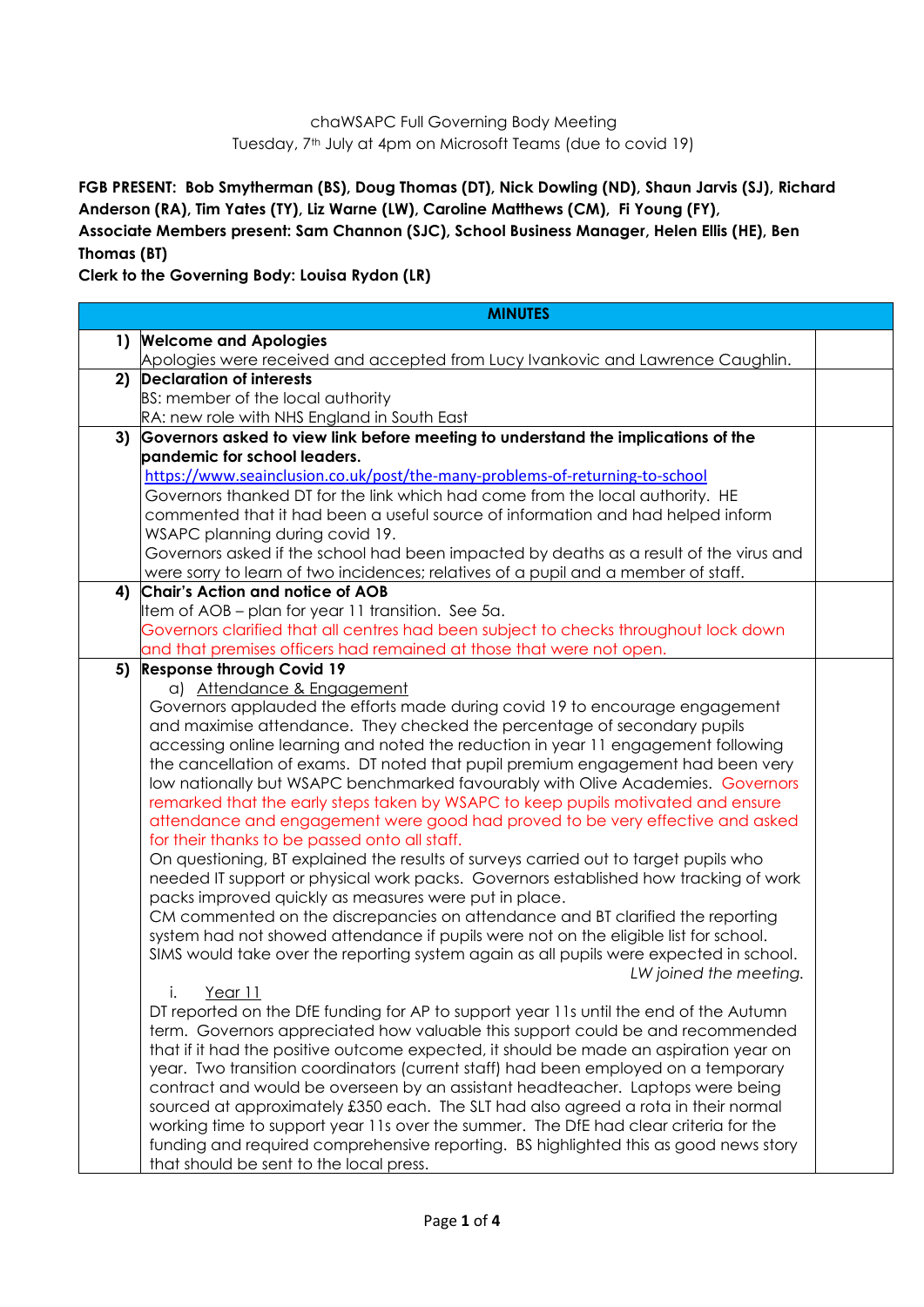## chaWSAPC Full Governing Body Meeting Tuesday, 7<sup>th</sup> July at 4pm on Microsoft Teams (due to covid 19)

**FGB PRESENT: Bob Smytherman (BS), Doug Thomas (DT), Nick Dowling (ND), Shaun Jarvis (SJ), Richard Anderson (RA), Tim Yates (TY), Liz Warne (LW), Caroline Matthews (CM), Fi Young (FY), Associate Members present: Sam Channon (SJC), School Business Manager, Helen Ellis (HE), Ben Thomas (BT)**

**Clerk to the Governing Body: Louisa Rydon (LR)**

|              | <b>MINUTES</b>                                                                                                   |  |
|--------------|------------------------------------------------------------------------------------------------------------------|--|
| $\mathbf{1}$ | <b>Welcome and Apologies</b>                                                                                     |  |
|              | Apologies were received and accepted from Lucy Ivankovic and Lawrence Caughlin.                                  |  |
| 2)           | <b>Declaration of interests</b>                                                                                  |  |
|              | BS: member of the local authority                                                                                |  |
|              | RA: new role with NHS England in South East                                                                      |  |
| 3)           | Governors asked to view link before meeting to understand the implications of the                                |  |
|              | pandemic for school leaders.                                                                                     |  |
|              | https://www.seainclusion.co.uk/post/the-many-problems-of-returning-to-school                                     |  |
|              | Governors thanked DT for the link which had come from the local authority. HE                                    |  |
|              | commented that it had been a useful source of information and had helped inform                                  |  |
|              | WSAPC planning during covid 19.                                                                                  |  |
|              | Governors asked if the school had been impacted by deaths as a result of the virus and                           |  |
|              | were sorry to learn of two incidences; relatives of a pupil and a member of staff.                               |  |
| 4)           | Chair's Action and notice of AOB                                                                                 |  |
|              | Item of AOB - plan for year 11 transition. See 5a.                                                               |  |
|              | Governors clarified that all centres had been subject to checks throughout lock down                             |  |
| 5)           | and that premises officers had remained at those that were not open.<br><b>Response through Covid 19</b>         |  |
|              | a) Attendance & Engagement                                                                                       |  |
|              | Governors applauded the efforts made during covid 19 to encourage engagement                                     |  |
|              | and maximise attendance. They checked the percentage of secondary pupils                                         |  |
|              | accessing online learning and noted the reduction in year 11 engagement following                                |  |
|              | the cancellation of exams. DT noted that pupil premium engagement had been very                                  |  |
|              | low nationally but WSAPC benchmarked favourably with Olive Academies. Governors                                  |  |
|              | remarked that the early steps taken by WSAPC to keep pupils motivated and ensure                                 |  |
|              | attendance and engagement were good had proved to be very effective and asked                                    |  |
|              | for their thanks to be passed onto all staff.                                                                    |  |
|              | On questioning, BT explained the results of surveys carried out to target pupils who                             |  |
|              | needed IT support or physical work packs. Governors established how tracking of work                             |  |
|              | packs improved quickly as measures were put in place.                                                            |  |
|              | CM commented on the discrepancies on attendance and BT clarified the reporting                                   |  |
|              | system had not showed attendance if pupils were not on the eligible list for school.                             |  |
|              | SIMS would take over the reporting system again as all pupils were expected in school.<br>LW joined the meeting. |  |
|              | i.<br>Year 11                                                                                                    |  |
|              | DT reported on the DfE funding for AP to support year 11s until the end of the Autumn                            |  |
|              | term. Governors appreciated how valuable this support could be and recommended                                   |  |
|              | that if it had the positive outcome expected, it should be made an aspiration year on                            |  |
|              | year. Two transition coordinators (current staff) had been employed on a temporary                               |  |
|              | contract and would be overseen by an assistant headteacher. Laptops were being                                   |  |
|              | sourced at approximately £350 each. The SLT had also agreed a rota in their normal                               |  |
|              | working time to support year 11s over the summer. The DfE had clear criteria for the                             |  |
|              | funding and required comprehensive reporting. BS highlighted this as good news story                             |  |
|              | that should be sent to the local press.                                                                          |  |
|              |                                                                                                                  |  |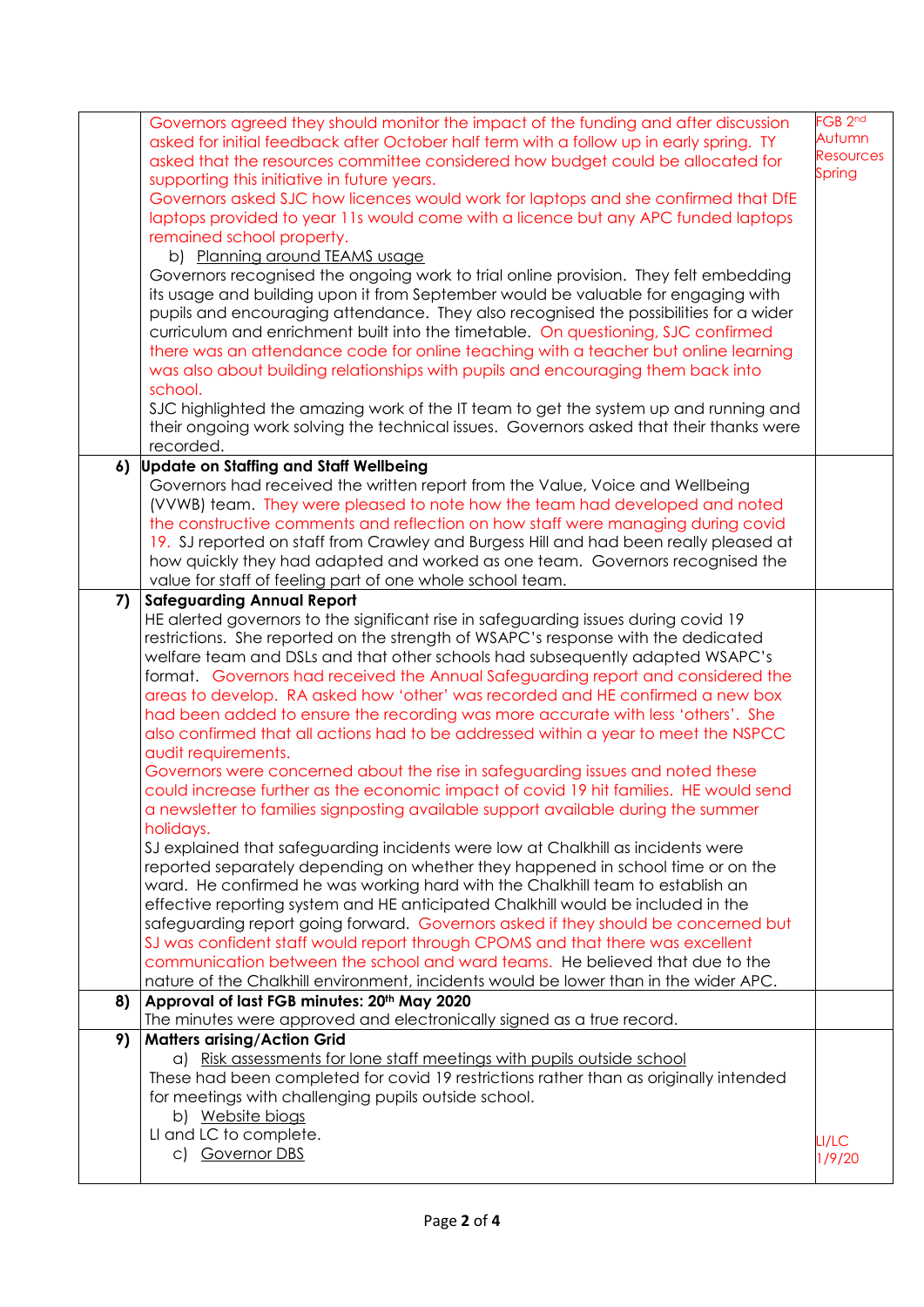| supporting this initiative in future years.<br>Governors asked SJC how licences would work for laptops and she confirmed that DfE<br>laptops provided to year 11s would come with a licence but any APC funded laptops<br>remained school property.<br>b) Planning around TEAMS usage<br>Governors recognised the ongoing work to trial online provision. They felt embedding<br>its usage and building upon it from September would be valuable for engaging with<br>pupils and encouraging attendance. They also recognised the possibilities for a wider<br>curriculum and enrichment built into the timetable. On questioning, SJC confirmed<br>there was an attendance code for online teaching with a teacher but online learning<br>was also about building relationships with pupils and encouraging them back into<br>school.<br>SJC highlighted the amazing work of the IT team to get the system up and running and<br>their ongoing work solving the technical issues. Governors asked that their thanks were                                                                                                                                                                                                                                                                                                                                                                                                                                                                                                                                                                                                                         | <b>Resources</b><br>Spring                                                                                            |
|---------------------------------------------------------------------------------------------------------------------------------------------------------------------------------------------------------------------------------------------------------------------------------------------------------------------------------------------------------------------------------------------------------------------------------------------------------------------------------------------------------------------------------------------------------------------------------------------------------------------------------------------------------------------------------------------------------------------------------------------------------------------------------------------------------------------------------------------------------------------------------------------------------------------------------------------------------------------------------------------------------------------------------------------------------------------------------------------------------------------------------------------------------------------------------------------------------------------------------------------------------------------------------------------------------------------------------------------------------------------------------------------------------------------------------------------------------------------------------------------------------------------------------------------------------------------------------------------------------------------------------------------------|-----------------------------------------------------------------------------------------------------------------------|
| recorded.                                                                                                                                                                                                                                                                                                                                                                                                                                                                                                                                                                                                                                                                                                                                                                                                                                                                                                                                                                                                                                                                                                                                                                                                                                                                                                                                                                                                                                                                                                                                                                                                                                         |                                                                                                                       |
| <b>Update on Staffing and Staff Wellbeing</b><br>Governors had received the written report from the Value, Voice and Wellbeing<br>(VVWB) team. They were pleased to note how the team had developed and noted<br>the constructive comments and reflection on how staff were managing during covid<br>19. SJ reported on staff from Crawley and Burgess Hill and had been really pleased at<br>how quickly they had adapted and worked as one team. Governors recognised the<br>value for staff of feeling part of one whole school team.                                                                                                                                                                                                                                                                                                                                                                                                                                                                                                                                                                                                                                                                                                                                                                                                                                                                                                                                                                                                                                                                                                          |                                                                                                                       |
| <b>Safeguarding Annual Report</b><br>HE alerted governors to the significant rise in safeguarding issues during covid 19<br>restrictions. She reported on the strength of WSAPC's response with the dedicated<br>welfare team and DSLs and that other schools had subsequently adapted WSAPC's<br>format. Governors had received the Annual Safeguarding report and considered the<br>areas to develop. RA asked how 'other' was recorded and HE confirmed a new box<br>had been added to ensure the recording was more accurate with less 'others'. She<br>also confirmed that all actions had to be addressed within a year to meet the NSPCC<br>audit requirements.<br>Governors were concerned about the rise in safeguarding issues and noted these<br>could increase further as the economic impact of covid 19 hit families. HE would send<br>a newsletter to families signposting available support available during the summer<br>holidays.<br>SJ explained that safeguarding incidents were low at Chalkhill as incidents were<br>reported separately depending on whether they happened in school time or on the<br>ward. He confirmed he was working hard with the Chalkhill team to establish an<br>effective reporting system and HE anticipated Chalkhill would be included in the<br>safeguarding report going forward. Governors asked if they should be concerned but<br>SJ was confident staff would report through CPOMS and that there was excellent<br>communication between the school and ward teams. He believed that due to the<br>nature of the Chalkhill environment, incidents would be lower than in the wider APC. |                                                                                                                       |
| Approval of last FGB minutes: 20th May 2020                                                                                                                                                                                                                                                                                                                                                                                                                                                                                                                                                                                                                                                                                                                                                                                                                                                                                                                                                                                                                                                                                                                                                                                                                                                                                                                                                                                                                                                                                                                                                                                                       |                                                                                                                       |
| The minutes were approved and electronically signed as a true record.                                                                                                                                                                                                                                                                                                                                                                                                                                                                                                                                                                                                                                                                                                                                                                                                                                                                                                                                                                                                                                                                                                                                                                                                                                                                                                                                                                                                                                                                                                                                                                             |                                                                                                                       |
| a) Risk assessments for lone staff meetings with pupils outside school<br>These had been completed for covid 19 restrictions rather than as originally intended<br>for meetings with challenging pupils outside school.<br>b) Website biogs<br>LI and LC to complete.<br>c) Governor DBS                                                                                                                                                                                                                                                                                                                                                                                                                                                                                                                                                                                                                                                                                                                                                                                                                                                                                                                                                                                                                                                                                                                                                                                                                                                                                                                                                          | LI/LC<br>1/9/20                                                                                                       |
|                                                                                                                                                                                                                                                                                                                                                                                                                                                                                                                                                                                                                                                                                                                                                                                                                                                                                                                                                                                                                                                                                                                                                                                                                                                                                                                                                                                                                                                                                                                                                                                                                                                   | asked that the resources committee considered how budget could be allocated for<br><b>Matters arising/Action Grid</b> |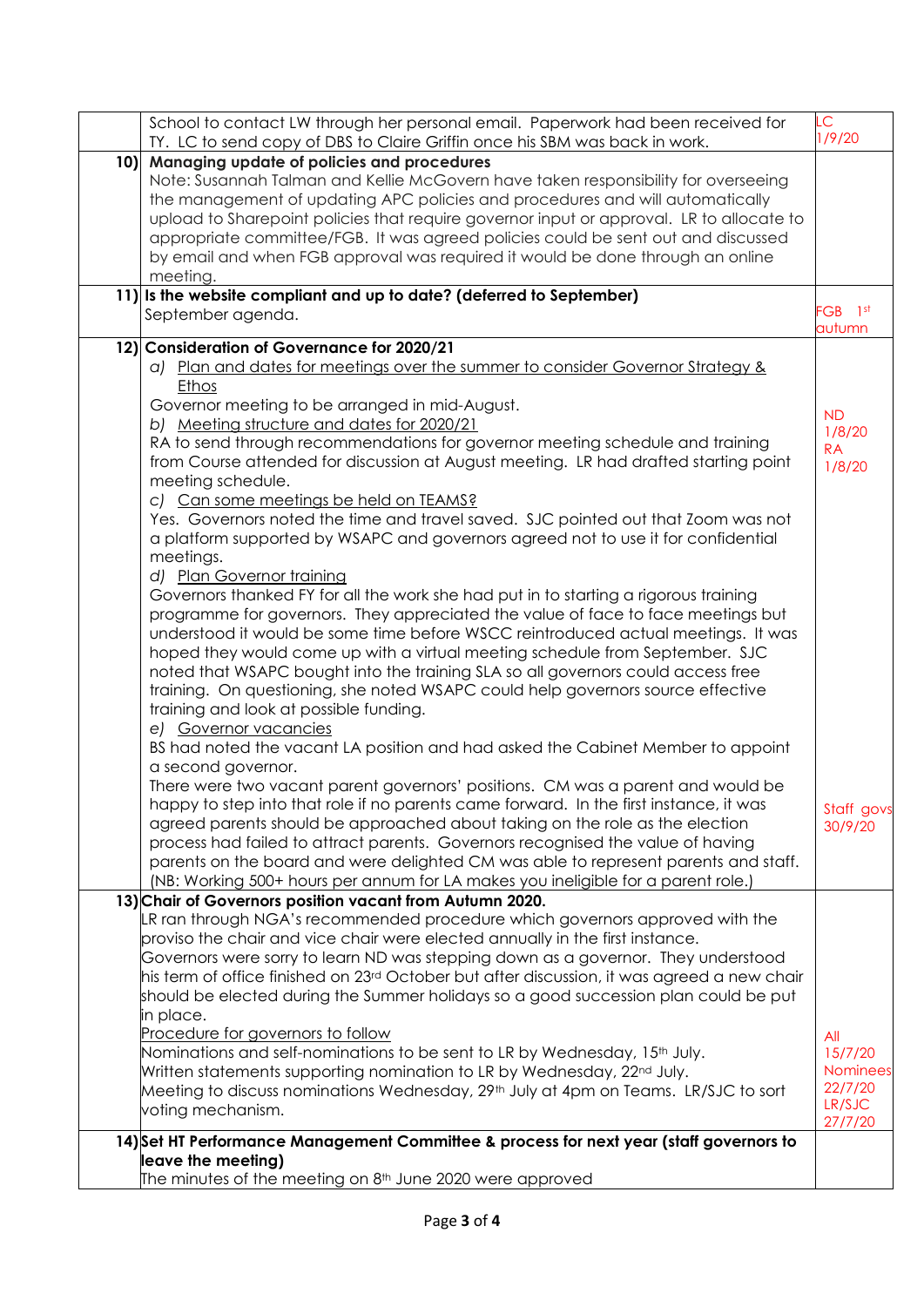|    | School to contact LW through her personal email. Paperwork had been received for<br>TY. LC to send copy of DBS to Claire Griffin once his SBM was back in work. | LC.<br>1/9/20   |
|----|-----------------------------------------------------------------------------------------------------------------------------------------------------------------|-----------------|
| 10 | Managing update of policies and procedures                                                                                                                      |                 |
|    | Note: Susannah Talman and Kellie McGovern have taken responsibility for overseeing                                                                              |                 |
|    | the management of updating APC policies and procedures and will automatically                                                                                   |                 |
|    | upload to Sharepoint policies that require governor input or approval. LR to allocate to                                                                        |                 |
|    | appropriate committee/FGB. It was agreed policies could be sent out and discussed                                                                               |                 |
|    | by email and when FGB approval was required it would be done through an online                                                                                  |                 |
|    | meeting.                                                                                                                                                        |                 |
|    | 11) Is the website compliant and up to date? (deferred to September)                                                                                            |                 |
|    |                                                                                                                                                                 | FGB 1st         |
|    | September agenda.                                                                                                                                               | autumn          |
|    | 12) Consideration of Governance for 2020/21                                                                                                                     |                 |
|    | a) Plan and dates for meetings over the summer to consider Governor Strategy &                                                                                  |                 |
|    | <b>Ethos</b>                                                                                                                                                    |                 |
|    | Governor meeting to be arranged in mid-August.                                                                                                                  |                 |
|    | b) Meeting structure and dates for 2020/21                                                                                                                      | <b>ND</b>       |
|    | RA to send through recommendations for governor meeting schedule and training                                                                                   | 1/8/20          |
|    |                                                                                                                                                                 | <b>RA</b>       |
|    | from Course attended for discussion at August meeting. LR had drafted starting point                                                                            | 1/8/20          |
|    | meeting schedule.                                                                                                                                               |                 |
|    | c) Can some meetings be held on TEAMS?                                                                                                                          |                 |
|    | Yes. Governors noted the time and travel saved. SJC pointed out that Zoom was not                                                                               |                 |
|    | a platform supported by WSAPC and governors agreed not to use it for confidential                                                                               |                 |
|    | meetings.                                                                                                                                                       |                 |
|    | d) Plan Governor training                                                                                                                                       |                 |
|    | Governors thanked FY for all the work she had put in to starting a rigorous training                                                                            |                 |
|    | programme for governors. They appreciated the value of face to face meetings but                                                                                |                 |
|    | understood it would be some time before WSCC reintroduced actual meetings. It was                                                                               |                 |
|    | hoped they would come up with a virtual meeting schedule from September. SJC                                                                                    |                 |
|    | noted that WSAPC bought into the training SLA so all governors could access free                                                                                |                 |
|    | training. On questioning, she noted WSAPC could help governors source effective                                                                                 |                 |
|    | training and look at possible funding.                                                                                                                          |                 |
|    | e) Governor vacancies                                                                                                                                           |                 |
|    | BS had noted the vacant LA position and had asked the Cabinet Member to appoint                                                                                 |                 |
|    | a second governor.                                                                                                                                              |                 |
|    | There were two vacant parent governors' positions. CM was a parent and would be                                                                                 |                 |
|    | happy to step into that role if no parents came forward. In the first instance, it was                                                                          | Staff govs      |
|    | agreed parents should be approached about taking on the role as the election                                                                                    | 30/9/20         |
|    | process had failed to attract parents. Governors recognised the value of having                                                                                 |                 |
|    | parents on the board and were delighted CM was able to represent parents and staff.                                                                             |                 |
|    | (NB: Working 500+ hours per annum for LA makes you ineligible for a parent role.)                                                                               |                 |
|    | 13) Chair of Governors position vacant from Autumn 2020.                                                                                                        |                 |
|    | LR ran through NGA's recommended procedure which governors approved with the                                                                                    |                 |
|    | proviso the chair and vice chair were elected annually in the first instance.                                                                                   |                 |
|    | Governors were sorry to learn ND was stepping down as a governor. They understood                                                                               |                 |
|    | his term of office finished on 23 <sup>rd</sup> October but after discussion, it was agreed a new chair                                                         |                 |
|    | should be elected during the Summer holidays so a good succession plan could be put                                                                             |                 |
|    | in place.                                                                                                                                                       |                 |
|    | Procedure for governors to follow                                                                                                                               | All             |
|    | Nominations and self-nominations to be sent to LR by Wednesday, 15 <sup>th</sup> July.                                                                          | 15/7/20         |
|    | Written statements supporting nomination to LR by Wednesday, 22 <sup>nd</sup> July.                                                                             | <b>Nominees</b> |
|    | Meeting to discuss nominations Wednesday, 29th July at 4pm on Teams. LR/SJC to sort                                                                             | 22/7/20         |
|    | voting mechanism.                                                                                                                                               | LR/SJC          |
|    |                                                                                                                                                                 | 27/7/20         |
|    | 14) Set HT Performance Management Committee & process for next year (staff governors to                                                                         |                 |
|    | leave the meeting)                                                                                                                                              |                 |
|    | The minutes of the meeting on 8th June 2020 were approved                                                                                                       |                 |
|    |                                                                                                                                                                 |                 |